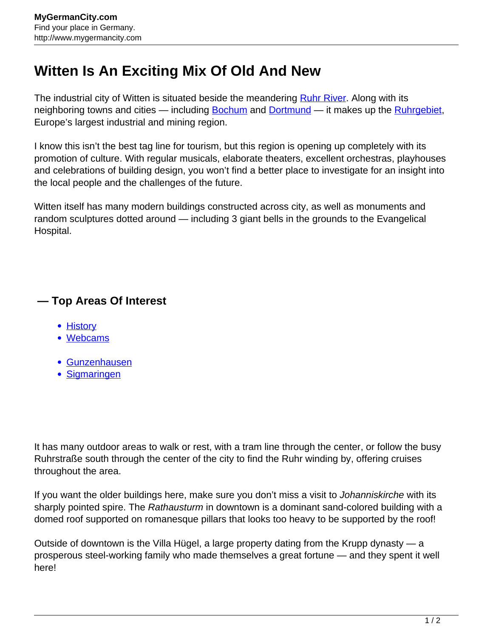## **Witten Is An Exciting Mix Of Old And New**

The industrial city of Witten is situated beside the meandering [Ruhr River.](http://www.mygermancity.com/ruhr-river) Along with its neighboring towns and cities — including **Bochum** and **Dortmund** — it makes up the **Ruhrgebiet**, Europe's largest industrial and mining region.

I know this isn't the best tag line for tourism, but this region is opening up completely with its promotion of culture. With regular musicals, elaborate theaters, excellent orchestras, playhouses and celebrations of building design, you won't find a better place to investigate for an insight into the local people and the challenges of the future.

Witten itself has many modern buildings constructed across city, as well as monuments and random sculptures dotted around — including 3 giant bells in the grounds to the Evangelical Hospital.

## **— Top Areas Of Interest**

- **[History](http://www.mygermancity.com/leipzig-history)**
- [Webcams](http://www.mygermancity.com/neustadt-holstein-webcams)
- [Gunzenhausen](http://www.mygermancity.com/gunzenhausen)
- [Sigmaringen](http://www.mygermancity.com/sigmaringen)

It has many outdoor areas to walk or rest, with a tram line through the center, or follow the busy Ruhrstraße south through the center of the city to find the Ruhr winding by, offering cruises throughout the area.

If you want the older buildings here, make sure you don't miss a visit to Johanniskirche with its sharply pointed spire. The Rathausturm in downtown is a dominant sand-colored building with a domed roof supported on romanesque pillars that looks too heavy to be supported by the roof!

Outside of downtown is the Villa Hügel, a large property dating from the Krupp dynasty — a prosperous steel-working family who made themselves a great fortune — and they spent it well here!